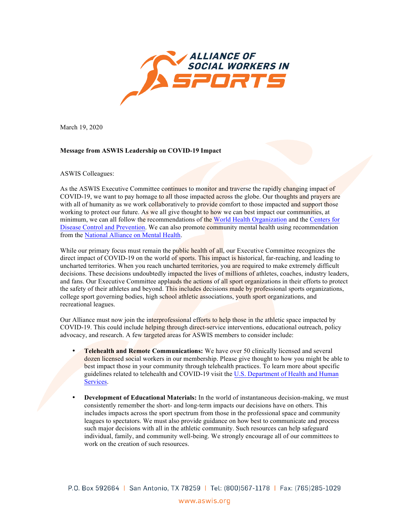

March 19, 2020

## **Message from ASWIS Leadership on COVID-19 Impact**

## ASWIS Colleagues:

As the ASWIS Executive Committee continues to monitor and traverse the rapidly changing impact of COVID-19, we want to pay homage to all those impacted across the globe. Our thoughts and prayers are with all of humanity as we work collaboratively to provide comfort to those impacted and support those working to protect our future. As we all give thought to how we can best impact our communities, at minimum, we can all follow the recommendations of the [World Health Organization](https://www.who.int/emergencies/diseases/novel-coronavirus-2019/technical-guidance) and the Centers for [Disease Control and Prevention.](https://www.cdc.gov/coronavirus/2019-nCoV/index.html) We can also promote community mental health using recommendation from the [National Alliance on Mental Health](https://www.nami.org/About-NAMI/NAMI-News/2020/NAMI-Updates-on-the-Coronavirus).

While our primary focus must remain the public health of all, our Executive Committee recognizes the direct impact of COVID-19 on the world of sports. This impact is historical, far-reaching, and leading to uncharted territories. When you reach uncharted territories, you are required to make extremely difficult decisions. These decisions undoubtedly impacted the lives of millions of athletes, coaches, industry leaders, and fans. Our Executive Committee applauds the actions of all sport organizations in their efforts to protect the safety of their athletes and beyond. This includes decisions made by professional sports organizations, college sport governing bodies, high school athletic associations, youth sport organizations, and recreational leagues.

Our Alliance must now join the interprofessional efforts to help those in the athletic space impacted by COVID-19. This could include helping through direct-service interventions, educational outreach, policy advocacy, and research. A few targeted areas for ASWIS members to consider include:

- **Telehealth and Remote Communications:** We have over 50 clinically licensed and several dozen licensed social workers in our membership. Please give thought to how you might be able to best impact those in your community through telehealth practices. To learn more about specific guidelines related to telehealth and COVID-19 visit the [U.S. Department of Health and Human](https://www.hhs.gov/hipaa/for-professionals/special-topics/emergency-preparedness/notification-enforcement-discretion-telehealth/index.html) [Services.](https://www.hhs.gov/hipaa/for-professionals/special-topics/emergency-preparedness/notification-enforcement-discretion-telehealth/index.html)
- **Development of Educational Materials:** In the world of instantaneous decision-making, we must consistently remember the short- and long-term impacts our decisions have on others. This includes impacts across the sport spectrum from those in the professional space and community leagues to spectators. We must also provide guidance on how best to communicate and process such major decisions with all in the athletic community. Such resources can help safeguard individual, family, and community well-being. We strongly encourage all of our committees to work on the creation of such resources.